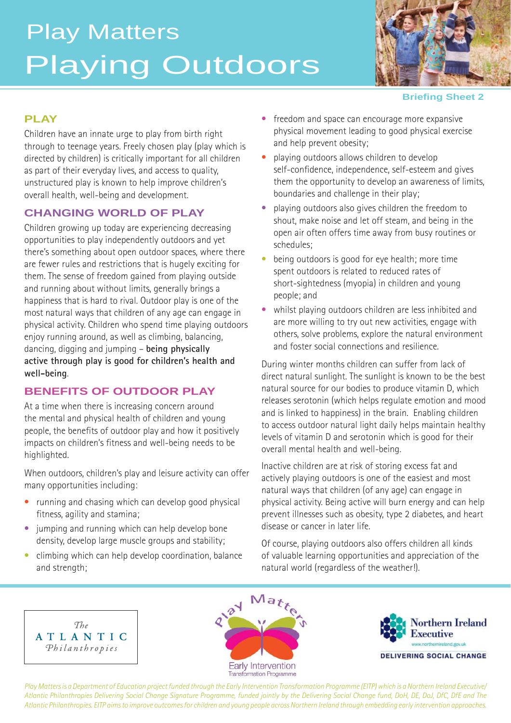# Playing Outdoors Play Matters



#### **Briefing Sheet 2**

#### **PLAY**

Children have an innate urge to play from birth right through to teenage years. Freely chosen play (play which is directed by children) is critically important for all children as part of their everyday lives, and access to quality, unstructured play is known to help improve children's overall health, well-being and development.

## **CHANGING WORLD OF PLAY**

Children growing up today are experiencing decreasing opportunities to play independently outdoors and yet there's something about open outdoor spaces, where there are fewer rules and restrictions that is hugely exciting for them. The sense of freedom gained from playing outside and running about without limits, generally brings a happiness that is hard to rival. Outdoor play is one of the most natural ways that children of any age can engage in physical activity. Children who spend time playing outdoors enjoy running around, as well as climbing, balancing, dancing, digging and jumping – **being physically active through play is good for children's health and well-being**.

## **BENEFITS OF OUTDOOR PLAY**

At a time when there is increasing concern around the mental and physical health of children and young people, the benefits of outdoor play and how it positively impacts on children's fitness and well-being needs to be highlighted.

When outdoors, children's play and leisure activity can offer many opportunities including:

- running and chasing which can develop good physical fitness, agility and stamina;
- jumping and running which can help develop bone density, develop large muscle groups and stability;
- climbing which can help develop coordination, balance and strength;
- freedom and space can encourage more expansive physical movement leading to good physical exercise and help prevent obesity;
- playing outdoors allows children to develop self-confidence, independence, self-esteem and gives them the opportunity to develop an awareness of limits, boundaries and challenge in their play;
- playing outdoors also gives children the freedom to shout, make noise and let off steam, and being in the open air often offers time away from busy routines or schedules;
- being outdoors is good for eye health; more time spent outdoors is related to reduced rates of short-sightedness (myopia) in children and young people; and
- whilst playing outdoors children are less inhibited and are more willing to try out new activities, engage with others, solve problems, explore the natural environment and foster social connections and resilience.

During winter months children can suffer from lack of direct natural sunlight. The sunlight is known to be the best natural source for our bodies to produce vitamin D, which releases serotonin (which helps regulate emotion and mood and is linked to happiness) in the brain. Enabling children to access outdoor natural light daily helps maintain healthy levels of vitamin D and serotonin which is good for their overall mental health and well-being.

Inactive children are at risk of storing excess fat and actively playing outdoors is one of the easiest and most natural ways that children (of any age) can engage in physical activity. Being active will burn energy and can help prevent illnesses such as obesity, type 2 diabetes, and heart disease or cancer in later life.

Of course, playing outdoors also offers children all kinds of valuable learning opportunities and appreciation of the natural world (regardless of the weather!).







*Play Matters is a Department of Education project funded through the Early Intervention Transformation Programme (EITP) which is a Northern Ireland Executive/ Atlantic Philanthropies Delivering Social Change Signature Programme, funded jointly by the Delivering Social Change fund, DoH, DE, DoJ, DfC, DfE and The Atlantic Philanthropies. EITP aims to improve outcomes for children and young people across Northern Ireland through embedding early intervention approaches.*